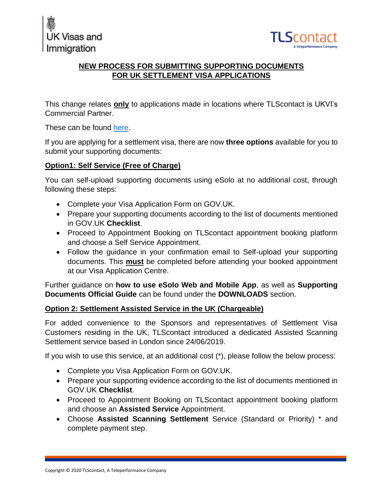



# **NEW PROCESS FOR SUBMITTING SUPPORTING DOCUMENTS FOR UK SETTLEMENT VISA APPLICATIONS**

This change relates **only** to applications made in locations where TLScontact is UKVI's Commercial Partner.

These can be found [here.](https://pos.tlscontact.com/tls-service-options)

If you are applying for a settlement visa, there are now **three options** available for you to submit your supporting documents:

### **Option1: Self Service (Free of Charge)**

You can self-upload supporting documents using eSolo at no additional cost, through following these steps:

- Complete your Visa Application Form on GOV.UK.
- Prepare your supporting documents according to the list of documents mentioned in GOV.UK **Checklist**.
- Proceed to Appointment Booking on TLScontact appointment booking platform and choose a Self Service Appointment.
- Follow the guidance in your confirmation email to Self-upload your supporting documents. This **must** be completed before attending your booked appointment at our Visa Application Centre.

Further guidance on **how to use eSolo Web and Mobile App**, as well as **Supporting Documents Official Guide** can be found under the **DOWNLOADS** section.

## **Option 2: Settlement Assisted Service in the UK (Chargeable)**

For added convenience to the Sponsors and representatives of Settlement Visa Customers residing in the UK, TLScontact introduced a dedicated Assisted Scanning Settlement service based in London since 24/06/2019.

If you wish to use this service, at an additional cost (\*), please follow the below process:

- Complete you Visa Application Form on GOV.UK.
- Prepare your supporting evidence according to the list of documents mentioned in GOV.UK **Checklist**.
- Proceed to Appointment Booking on TLScontact appointment booking platform and choose an **Assisted Service** Appointment.
- Choose **Assisted Scanning Settlement** Service (Standard or Priority) \* and complete payment step.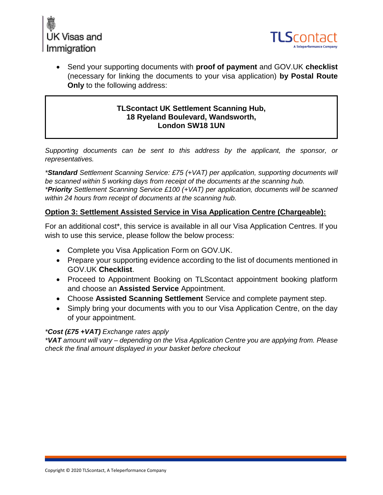



 Send your supporting documents with **proof of payment** and GOV.UK **checklist** (necessary for linking the documents to your visa application) **by Postal Route Only** to the following address:

#### **TLScontact UK Settlement Scanning Hub, 18 Ryeland Boulevard, Wandsworth, London SW18 1UN**

*Supporting documents can be sent to this address by the applicant, the sponsor, or representatives.*

*\*Standard Settlement Scanning Service: £75 (+VAT) per application, supporting documents will be scanned within 5 working days from receipt of the documents at the scanning hub. \*Priority Settlement Scanning Service £100 (+VAT) per application, documents will be scanned within 24 hours from receipt of documents at the scanning hub.*

#### **Option 3: Settlement Assisted Service in Visa Application Centre (Chargeable):**

For an additional cost\*, this service is available in all our Visa Application Centres. If you wish to use this service, please follow the below process:

- Complete you Visa Application Form on GOV.UK.
- Prepare your supporting evidence according to the list of documents mentioned in GOV.UK **Checklist**.
- Proceed to Appointment Booking on TLScontact appointment booking platform and choose an **Assisted Service** Appointment.
- Choose **Assisted Scanning Settlement** Service and complete payment step.
- Simply bring your documents with you to our Visa Application Centre, on the day of your appointment.

#### *\*Cost (£75 +VAT) Exchange rates apply*

*\*VAT amount will vary – depending on the Visa Application Centre you are applying from. Please check the final amount displayed in your basket before checkout*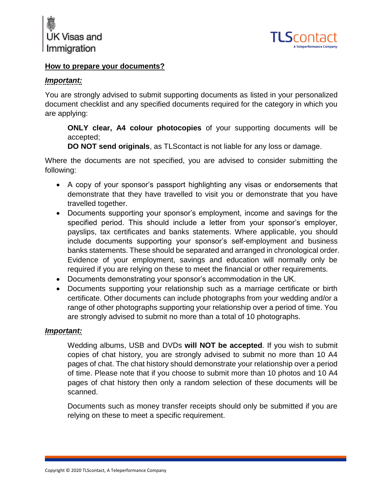



#### **How to prepare your documents?**

### *Important:*

You are strongly advised to submit supporting documents as listed in your personalized document checklist and any specified documents required for the category in which you are applying:

**ONLY clear, A4 colour photocopies** of your supporting documents will be accepted;

**DO NOT send originals**, as TLScontact is not liable for any loss or damage.

Where the documents are not specified, you are advised to consider submitting the following:

- A copy of your sponsor's passport highlighting any visas or endorsements that demonstrate that they have travelled to visit you or demonstrate that you have travelled together.
- Documents supporting your sponsor's employment, income and savings for the specified period. This should include a letter from your sponsor's employer, payslips, tax certificates and banks statements. Where applicable, you should include documents supporting your sponsor's self-employment and business banks statements. These should be separated and arranged in chronological order. Evidence of your employment, savings and education will normally only be required if you are relying on these to meet the financial or other requirements.
- Documents demonstrating your sponsor's accommodation in the UK.
- Documents supporting your relationship such as a marriage certificate or birth certificate. Other documents can include photographs from your wedding and/or a range of other photographs supporting your relationship over a period of time. You are strongly advised to submit no more than a total of 10 photographs.

#### *Important:*

Wedding albums, USB and DVDs **will NOT be accepted**. If you wish to submit copies of chat history, you are strongly advised to submit no more than 10 A4 pages of chat. The chat history should demonstrate your relationship over a period of time. Please note that if you choose to submit more than 10 photos and 10 A4 pages of chat history then only a random selection of these documents will be scanned.

Documents such as money transfer receipts should only be submitted if you are relying on these to meet a specific requirement.